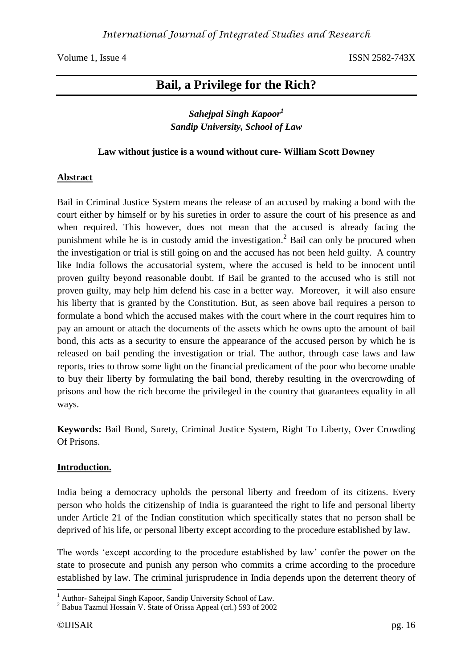# **Bail, a Privilege for the Rich?**

# *Sahejpal Singh Kapoor<sup>1</sup> Sandip University, School of Law*

# **Law without justice is a wound without cure- William Scott Downey**

# **Abstract**

Bail in Criminal Justice System means the release of an accused by making a bond with the court either by himself or by his sureties in order to assure the court of his presence as and when required. This however, does not mean that the accused is already facing the punishment while he is in custody amid the investigation.<sup>2</sup> Bail can only be procured when the investigation or trial is still going on and the accused has not been held guilty. A country like India follows the accusatorial system, where the accused is held to be innocent until proven guilty beyond reasonable doubt. If Bail be granted to the accused who is still not proven guilty, may help him defend his case in a better way. Moreover, it will also ensure his liberty that is granted by the Constitution. But, as seen above bail requires a person to formulate a bond which the accused makes with the court where in the court requires him to pay an amount or attach the documents of the assets which he owns upto the amount of bail bond, this acts as a security to ensure the appearance of the accused person by which he is released on bail pending the investigation or trial. The author, through case laws and law reports, tries to throw some light on the financial predicament of the poor who become unable to buy their liberty by formulating the bail bond, thereby resulting in the overcrowding of prisons and how the rich become the privileged in the country that guarantees equality in all ways.

**Keywords:** Bail Bond, Surety, Criminal Justice System, Right To Liberty, Over Crowding Of Prisons.

# **Introduction.**

India being a democracy upholds the personal liberty and freedom of its citizens. Every person who holds the citizenship of India is guaranteed the right to life and personal liberty under Article 21 of the Indian constitution which specifically states that no person shall be deprived of his life, or personal liberty except according to the procedure established by law.

The words 'except according to the procedure established by law' confer the power on the state to prosecute and punish any person who commits a crime according to the procedure established by law. The criminal jurisprudence in India depends upon the deterrent theory of

<sup>-</sup><sup>1</sup> Author- Sahejpal Singh Kapoor, Sandip University School of Law.

<sup>2</sup> Babua Tazmul Hossain V. State of Orissa Appeal (crl.) 593 of 2002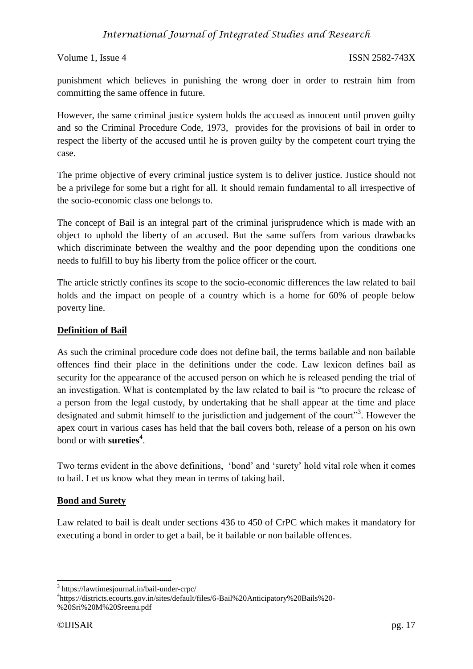# *International Journal of Integrated Studies and Research*

#### Volume 1, Issue 4 ISSN 2582-743X

punishment which believes in punishing the wrong doer in order to restrain him from committing the same offence in future.

However, the same criminal justice system holds the accused as innocent until proven guilty and so the Criminal Procedure Code, 1973, provides for the provisions of bail in order to respect the liberty of the accused until he is proven guilty by the competent court trying the case.

The prime objective of every criminal justice system is to deliver justice. Justice should not be a privilege for some but a right for all. It should remain fundamental to all irrespective of the socio-economic class one belongs to.

The concept of Bail is an integral part of the criminal jurisprudence which is made with an object to uphold the liberty of an accused. But the same suffers from various drawbacks which discriminate between the wealthy and the poor depending upon the conditions one needs to fulfill to buy his liberty from the police officer or the court.

The article strictly confines its scope to the socio-economic differences the law related to bail holds and the impact on people of a country which is a home for 60% of people below poverty line.

# **Definition of Bail**

As such the criminal procedure code does not define bail, the terms bailable and non bailable offences find their place in the definitions under the code. Law lexicon defines bail as security for the appearance of the accused person on which he is released pending the trial of an investigation. What is contemplated by the law related to bail is "to procure the release of a person from the legal custody, by undertaking that he shall appear at the time and place designated and submit himself to the jurisdiction and judgement of the court"<sup>3</sup>. However the apex court in various cases has held that the bail covers both, release of a person on his own bond or with **sureties<sup>4</sup>** .

Two terms evident in the above definitions, 'bond' and 'surety' hold vital role when it comes to bail. Let us know what they mean in terms of taking bail.

#### **Bond and Surety**

Law related to bail is dealt under sections 436 to 450 of CrPC which makes it mandatory for executing a bond in order to get a bail, be it bailable or non bailable offences.

-

<sup>3</sup> https://lawtimesjournal.in/bail-under-crpc/

<sup>4</sup> https://districts.ecourts.gov.in/sites/default/files/6-Bail%20Anticipatory%20Bails%20- %20Sri%20M%20Sreenu.pdf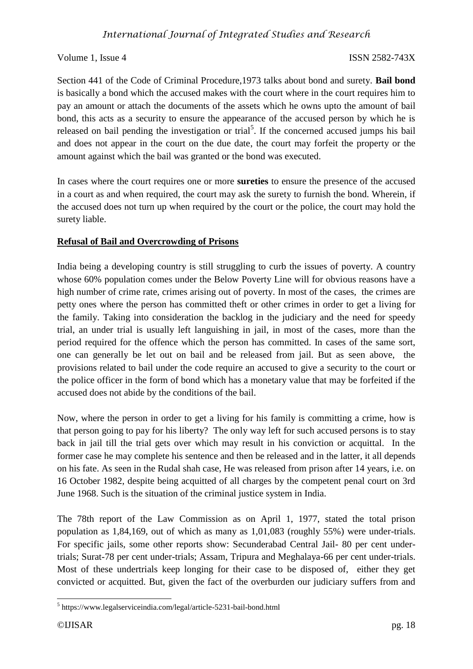Volume 1, Issue 4 ISSN 2582-743X

Section 441 of the Code of Criminal Procedure,1973 talks about bond and surety. **Bail bond** is basically a bond which the accused makes with the court where in the court requires him to pay an amount or attach the documents of the assets which he owns upto the amount of bail bond, this acts as a security to ensure the appearance of the accused person by which he is released on bail pending the investigation or trial<sup>5</sup>. If the concerned accused jumps his bail and does not appear in the court on the due date, the court may forfeit the property or the amount against which the bail was granted or the bond was executed.

In cases where the court requires one or more **sureties** to ensure the presence of the accused in a court as and when required, the court may ask the surety to furnish the bond. Wherein, if the accused does not turn up when required by the court or the police, the court may hold the surety liable.

# **Refusal of Bail and Overcrowding of Prisons**

India being a developing country is still struggling to curb the issues of poverty. A country whose 60% population comes under the Below Poverty Line will for obvious reasons have a high number of crime rate, crimes arising out of poverty. In most of the cases, the crimes are petty ones where the person has committed theft or other crimes in order to get a living for the family. Taking into consideration the backlog in the judiciary and the need for speedy trial, an under trial is usually left languishing in jail, in most of the cases, more than the period required for the offence which the person has committed. In cases of the same sort, one can generally be let out on bail and be released from jail. But as seen above, the provisions related to bail under the code require an accused to give a security to the court or the police officer in the form of bond which has a monetary value that may be forfeited if the accused does not abide by the conditions of the bail.

Now, where the person in order to get a living for his family is committing a crime, how is that person going to pay for his liberty? The only way left for such accused persons is to stay back in jail till the trial gets over which may result in his conviction or acquittal. In the former case he may complete his sentence and then be released and in the latter, it all depends on his fate. As seen in the Rudal shah case, He was released from prison after 14 years, i.e. on 16 October 1982, despite being acquitted of all charges by the competent penal court on 3rd June 1968. Such is the situation of the criminal justice system in India.

The 78th report of the Law Commission as on April 1, 1977, stated the total prison population as 1,84,169, out of which as many as 1,01,083 (roughly 55%) were under-trials. For specific jails, some other reports show: Secunderabad Central Jail- 80 per cent undertrials; Surat-78 per cent under-trials; Assam, Tripura and Meghalaya-66 per cent under-trials. Most of these undertrials keep longing for their case to be disposed of, either they get convicted or acquitted. But, given the fact of the overburden our judiciary suffers from and

<sup>-</sup>5 https://www.legalserviceindia.com/legal/article-5231-bail-bond.html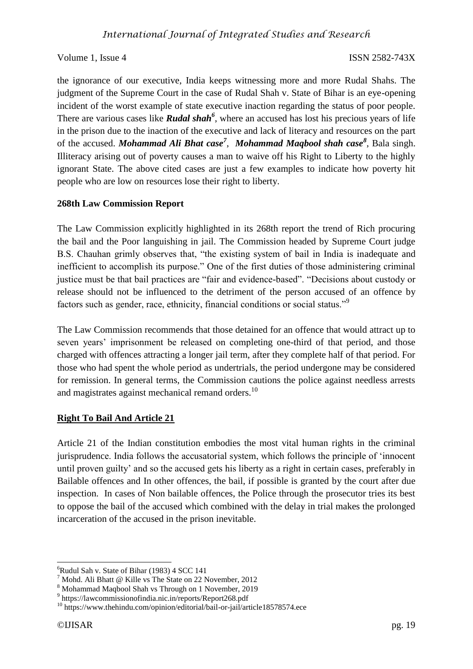Volume 1, Issue 4 ISSN 2582-743X

the ignorance of our executive, India keeps witnessing more and more Rudal Shahs. The judgment of the Supreme Court in the case of Rudal Shah v. State of Bihar is an eye-opening incident of the worst example of state executive inaction regarding the status of poor people. There are various cases like *Rudal shah<sup>6</sup>* , where an accused has lost his precious years of life in the prison due to the inaction of the executive and lack of literacy and resources on the part of the accused. *Mohammad Ali Bhat case<sup>7</sup>* , *Mohammad Maqbool shah case<sup>8</sup>* , Bala singh. Illiteracy arising out of poverty causes a man to waive off his Right to Liberty to the highly ignorant State. The above cited cases are just a few examples to indicate how poverty hit people who are low on resources lose their right to liberty.

# **268th Law Commission Report**

The Law Commission explicitly highlighted in its 268th report the trend of Rich procuring the bail and the Poor languishing in jail. The Commission headed by Supreme Court judge B.S. Chauhan grimly observes that, "the existing system of bail in India is inadequate and inefficient to accomplish its purpose." One of the first duties of those administering criminal justice must be that bail practices are "fair and evidence-based". "Decisions about custody or release should not be influenced to the detriment of the person accused of an offence by factors such as gender, race, ethnicity, financial conditions or social status."<sup>9</sup>

The Law Commission recommends that those detained for an offence that would attract up to seven years' imprisonment be released on completing one-third of that period, and those charged with offences attracting a longer jail term, after they complete half of that period. For those who had spent the whole period as undertrials, the period undergone may be considered for remission. In general terms, the Commission cautions the police against needless arrests and magistrates against mechanical remand orders.<sup>10</sup>

# **Right To Bail And Article 21**

Article 21 of the Indian constitution embodies the most vital human rights in the criminal jurisprudence. India follows the accusatorial system, which follows the principle of 'innocent until proven guilty' and so the accused gets his liberty as a right in certain cases, preferably in Bailable offences and In other offences, the bail, if possible is granted by the court after due inspection. In cases of Non bailable offences, the Police through the prosecutor tries its best to oppose the bail of the accused which combined with the delay in trial makes the prolonged incarceration of the accused in the prison inevitable.

-

 $6$ Rudul Sah v. State of Bihar (1983) 4 SCC 141

<sup>7</sup> Mohd. Ali Bhatt @ Kille vs The State on 22 November, 2012

<sup>8</sup> Mohammad Maqbool Shah vs Through on 1 November, 2019

<sup>9</sup> https://lawcommissionofindia.nic.in/reports/Report268.pdf

<sup>&</sup>lt;sup>10</sup> https://www.thehindu.com/opinion/editorial/bail-or-jail/article18578574.ece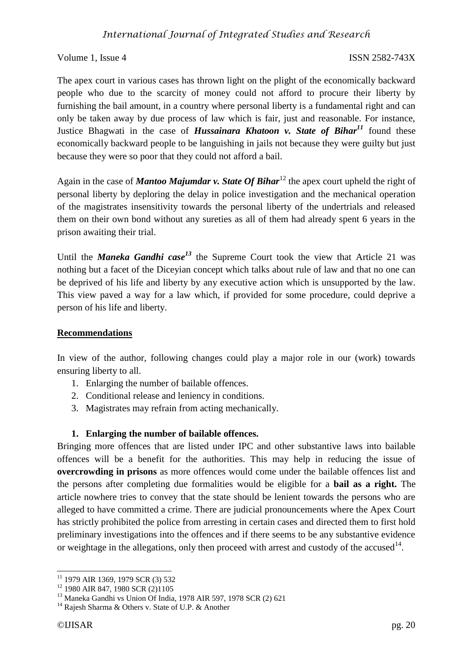# *International Journal of Integrated Studies and Research*

Volume 1, Issue 4 ISSN 2582-743X

The apex court in various cases has thrown light on the plight of the economically backward people who due to the scarcity of money could not afford to procure their liberty by furnishing the bail amount, in a country where personal liberty is a fundamental right and can only be taken away by due process of law which is fair, just and reasonable. For instance, Justice Bhagwati in the case of *Hussainara Khatoon v. State of Bihar<sup>11</sup>* found these economically backward people to be languishing in jails not because they were guilty but just because they were so poor that they could not afford a bail.

Again in the case of *Mantoo Majumdar v. State Of Bihar*<sup>12</sup> the apex court upheld the right of personal liberty by deploring the delay in police investigation and the mechanical operation of the magistrates insensitivity towards the personal liberty of the undertrials and released them on their own bond without any sureties as all of them had already spent 6 years in the prison awaiting their trial.

Until the *Maneka Gandhi case<sup>13</sup>* the Supreme Court took the view that Article 21 was nothing but a facet of the Diceyian concept which talks about rule of law and that no one can be deprived of his life and liberty by any executive action which is unsupported by the law. This view paved a way for a law which, if provided for some procedure, could deprive a person of his life and liberty.

#### **Recommendations**

In view of the author, following changes could play a major role in our (work) towards ensuring liberty to all.

- 1. Enlarging the number of bailable offences.
- 2. Conditional release and leniency in conditions.
- 3. Magistrates may refrain from acting mechanically.

# **1. Enlarging the number of bailable offences.**

Bringing more offences that are listed under IPC and other substantive laws into bailable offences will be a benefit for the authorities. This may help in reducing the issue of **overcrowding in prisons** as more offences would come under the bailable offences list and the persons after completing due formalities would be eligible for a **bail as a right.** The article nowhere tries to convey that the state should be lenient towards the persons who are alleged to have committed a crime. There are judicial pronouncements where the Apex Court has strictly prohibited the police from arresting in certain cases and directed them to first hold preliminary investigations into the offences and if there seems to be any substantive evidence or weightage in the allegations, only then proceed with arrest and custody of the accused<sup>14</sup>.

<sup>-</sup><sup>11</sup> 1979 AIR 1369, 1979 SCR (3) 532

<sup>&</sup>lt;sup>12</sup> 1980 AIR 847, 1980 SCR (2)1105

<sup>13</sup> Maneka Gandhi vs Union Of India, 1978 AIR 597, 1978 SCR (2) 621

<sup>&</sup>lt;sup>14</sup> Rajesh Sharma & Others v. State of U.P. & Another